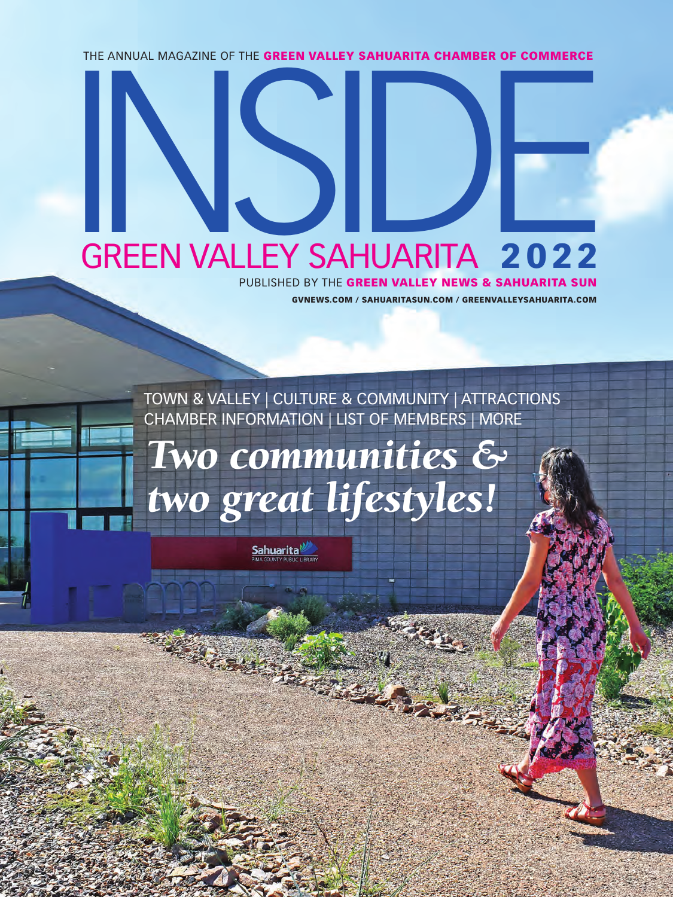THE ANNUAL MAGAZINE OF THE GREEN VALLEY SAHUARITA CHAMBER OF COMMERCE

## GREEN VALLEY SAHUARITA 2022

GVNEWS.COM / SAHUARITASUN.COM / GREENVALLEYSAHUARITA.COM PUBLISHED BY THE GREEN VALLEY NEWS & SAHUARITA SUN

TOWN & VALLEY | CULTURE & COMMUNITY | ATTRACTIONS CHAMBER INFORMATION | LIST OF MEMBERS | MORE

## *Two communities & two great lifestyles!*

**Sahuarita**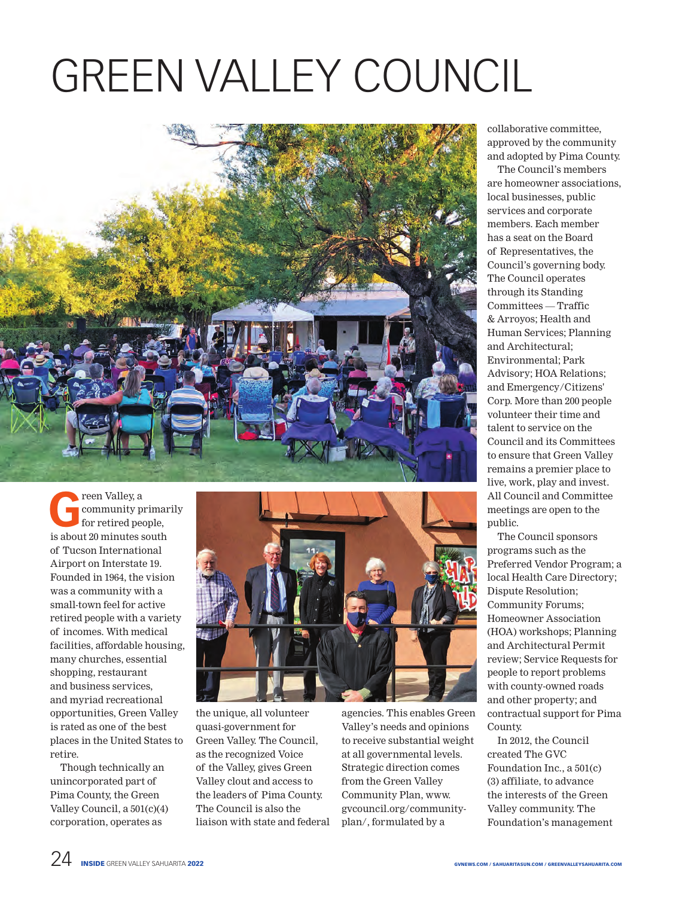## GREEN VALLEY COUNCIL



**Green Valley, a**<br>**Green Valley, a**<br>**Green Constant Constant Open Valley Apple Discrete** community primarily for retired people, is about 20 minutes south of Tucson International Airport on Interstate 19. Founded in 1964, the vision was a community with a small-town feel for active retired people with a variety of incomes. With medical facilities, affordable housing, many churches, essential shopping, restaurant and business services, and myriad recreational opportunities, Green Valley is rated as one of the best places in the United States to retire.

Though technically an unincorporated part of Pima County, the Green Valley Council, a 501(c)(4) corporation, operates as



the unique, all volunteer quasi-government for Green Valley. The Council, as the recognized Voice of the Valley, gives Green Valley clout and access to the leaders of Pima County. The Council is also the liaison with state and federal agencies. This enables Green Valley's needs and opinions to receive substantial weight at all governmental levels. Strategic direction comes from the Green Valley Community Plan, www. gvcouncil.org/communityplan/, formulated by a

collaborative committee, approved by the community and adopted by Pima County.

The Council's members are homeowner associations, local businesses, public services and corporate members. Each member has a seat on the Board of Representatives, the Council's governing body. The Council operates through its Standing Committees — Traffic & Arroyos; Health and Human Services; Planning and Architectural; Environmental; Park Advisory; HOA Relations; and Emergency/Citizens' Corp. More than 200 people volunteer their time and talent to service on the Council and its Committees to ensure that Green Valley remains a premier place to live, work, play and invest. All Council and Committee meetings are open to the public.

The Council sponsors programs such as the Preferred Vendor Program; a local Health Care Directory; Dispute Resolution; Community Forums; Homeowner Association (HOA) workshops; Planning and Architectural Permit review; Service Requests for people to report problems with county-owned roads and other property; and contractual support for Pima County.

In 2012, the Council created The GVC Foundation Inc., a 501(c) (3) affiliate, to advance the interests of the Green Valley community. The Foundation's management